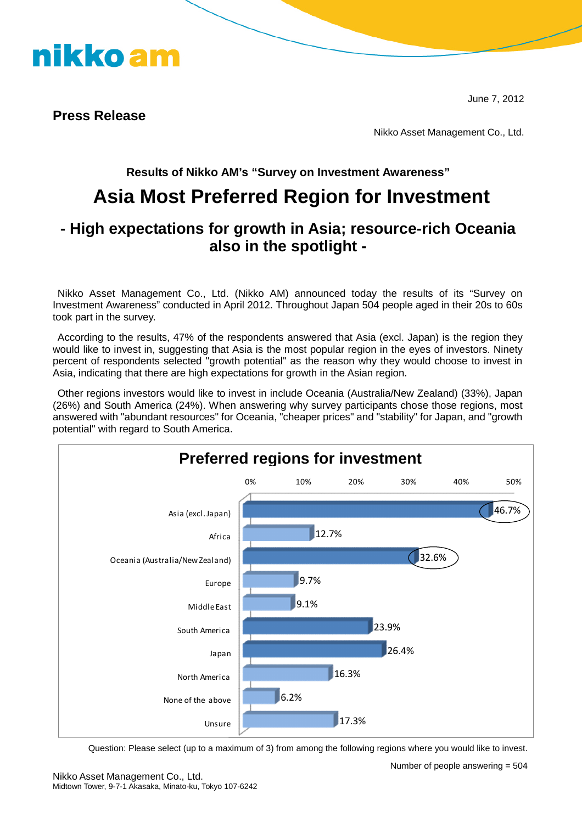

**Press Release**

nikko am

Nikko Asset Management Co., Ltd.

### **Results of Nikko AM's "Survey on Investment Awareness"**

## **Asia Most Preferred Region for Investment**

### **- High expectations for growth in Asia; resource-rich Oceania also in the spotlight -**

Nikko Asset Management Co., Ltd. (Nikko AM) announced today the results of its "Survey on Investment Awareness" conducted in April 2012. Throughout Japan 504 people aged in their 20s to 60s took part in the survey.

According to the results, 47% of the respondents answered that Asia (excl. Japan) is the region they would like to invest in, suggesting that Asia is the most popular region in the eyes of investors. Ninety percent of respondents selected "growth potential" as the reason why they would choose to invest in Asia, indicating that there are high expectations for growth in the Asian region.

Other regions investors would like to invest in include Oceania (Australia/New Zealand) (33%), Japan (26%) and South America (24%). When answering why survey participants chose those regions, most answered with "abundant resources" for Oceania, "cheaper prices" and "stability" for Japan, and "growth potential" with regard to South America.



Question: Please select (up to a maximum of 3) from among the following regions where you would like to invest.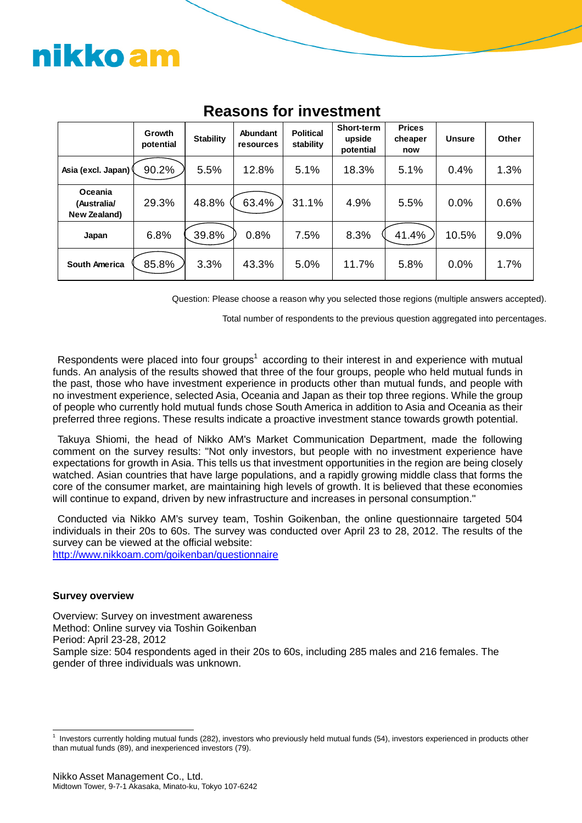# nikko am

|                                        | Growth<br>potential | <b>Stability</b> | Abundant<br><b>resources</b> | <b>Political</b><br>stability | Short-term<br>upside<br>potential | <b>Prices</b><br>cheaper<br>now | <b>Unsure</b> | Other |
|----------------------------------------|---------------------|------------------|------------------------------|-------------------------------|-----------------------------------|---------------------------------|---------------|-------|
| Asia (excl. Japan)                     | 90.2%               | 5.5%             | 12.8%                        | 5.1%                          | 18.3%                             | 5.1%                            | 0.4%          | 1.3%  |
| Oceania<br>(Australia/<br>New Zealand) | 29.3%               | 48.8%            | 63.4%                        | 31.1%                         | 4.9%                              | 5.5%                            | 0.0%          | 0.6%  |
| Japan                                  | 6.8%                | 39.8%            | 0.8%                         | 7.5%                          | 8.3%                              | 41.4%                           | 10.5%         | 9.0%  |
| <b>South America</b>                   | 85.8%               | 3.3%             | 43.3%                        | 5.0%                          | 11.7%                             | 5.8%                            | 0.0%          | 1.7%  |

## **Reasons for investment**

Question: Please choose a reason why you selected those regions (multiple answers accepted).

Total number of respondents to the previous question aggregated into percentages.

Respondents were placed into four groups<sup>[1](#page-1-0)</sup> according to their interest in and experience with mutual funds. An analysis of the results showed that three of the four groups, people who held mutual funds in the past, those who have investment experience in products other than mutual funds, and people with no investment experience, selected Asia, Oceania and Japan as their top three regions. While the group of people who currently hold mutual funds chose South America in addition to Asia and Oceania as their preferred three regions. These results indicate a proactive investment stance towards growth potential.

Takuya Shiomi, the head of Nikko AM's Market Communication Department, made the following comment on the survey results: "Not only investors, but people with no investment experience have expectations for growth in Asia. This tells us that investment opportunities in the region are being closely watched. Asian countries that have large populations, and a rapidly growing middle class that forms the core of the consumer market, are maintaining high levels of growth. It is believed that these economies will continue to expand, driven by new infrastructure and increases in personal consumption."

Conducted via Nikko AM's survey team, Toshin Goikenban, the online questionnaire targeted 504 individuals in their 20s to 60s. The survey was conducted over April 23 to 28, 2012. The results of the survey can be viewed at the official website:

<http://www.nikkoam.com/goikenban/questionnaire>

#### **Survey overview**

Overview: Survey on investment awareness Method: Online survey via Toshin Goikenban Period: April 23-28, 2012 Sample size: 504 respondents aged in their 20s to 60s, including 285 males and 216 females. The gender of three individuals was unknown.

<span id="page-1-0"></span><sup>&</sup>lt;sup>1</sup> Investors currently holding mutual funds (282), investors who previously held mutual funds (54), investors experienced in products other than mutual funds (89), and inexperienced investors (79).